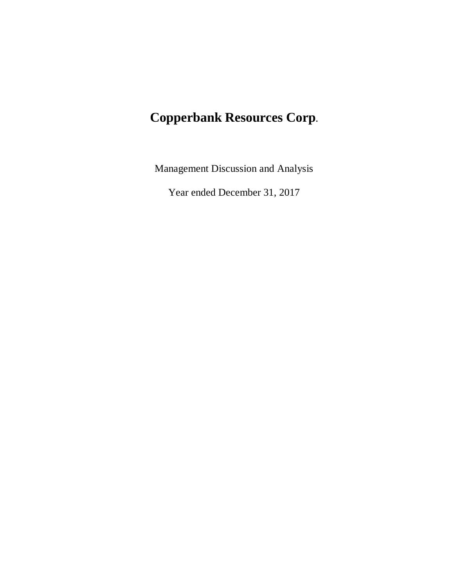# **Copperbank Resources Corp.**

Management Discussion and Analysis

Year ended December 31, 2017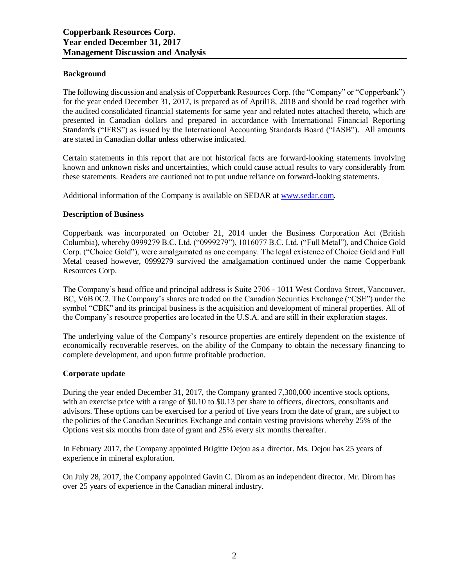# **Background**

The following discussion and analysis of Copperbank Resources Corp. (the "Company" or "Copperbank") for the year ended December 31, 2017, is prepared as of April18, 2018 and should be read together with the audited consolidated financial statements for same year and related notes attached thereto, which are presented in Canadian dollars and prepared in accordance with International Financial Reporting Standards ("IFRS") as issued by the International Accounting Standards Board ("IASB"). All amounts are stated in Canadian dollar unless otherwise indicated.

Certain statements in this report that are not historical facts are forward-looking statements involving known and unknown risks and uncertainties, which could cause actual results to vary considerably from these statements. Readers are cautioned not to put undue reliance on forward-looking statements.

Additional information of the Company is available on SEDAR at [www.sedar.com.](http://www.sedar.com/)

# **Description of Business**

Copperbank was incorporated on October 21, 2014 under the Business Corporation Act (British Columbia), whereby 0999279 B.C. Ltd. ("0999279"), 1016077 B.C. Ltd. ("Full Metal"), and Choice Gold Corp. ("Choice Gold"), were amalgamated as one company. The legal existence of Choice Gold and Full Metal ceased however, 0999279 survived the amalgamation continued under the name Copperbank Resources Corp.

The Company's head office and principal address is Suite 2706 - 1011 West Cordova Street, Vancouver, BC, V6B 0C2. The Company's shares are traded on the Canadian Securities Exchange ("CSE") under the symbol "CBK" and its principal business is the acquisition and development of mineral properties. All of the Company's resource properties are located in the U.S.A. and are still in their exploration stages.

The underlying value of the Company's resource properties are entirely dependent on the existence of economically recoverable reserves, on the ability of the Company to obtain the necessary financing to complete development, and upon future profitable production.

#### **Corporate update**

During the year ended December 31, 2017, the Company granted 7,300,000 incentive stock options, with an exercise price with a range of \$0.10 to \$0.13 per share to officers, directors, consultants and advisors. These options can be exercised for a period of five years from the date of grant, are subject to the policies of the Canadian Securities Exchange and contain vesting provisions whereby 25% of the Options vest six months from date of grant and 25% every six months thereafter.

In February 2017, the Company appointed Brigitte Dejou as a director. Ms. Dejou has 25 years of experience in mineral exploration.

On July 28, 2017, the Company appointed Gavin C. Dirom as an independent director. Mr. Dirom has over 25 years of experience in the Canadian mineral industry.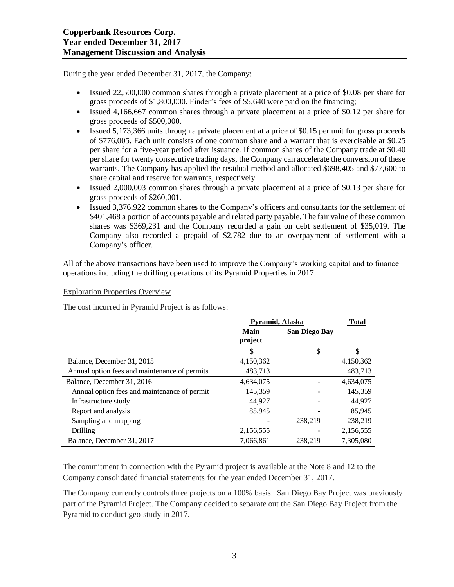During the year ended December 31, 2017, the Company:

- Issued 22,500,000 common shares through a private placement at a price of \$0.08 per share for gross proceeds of \$1,800,000. Finder's fees of \$5,640 were paid on the financing;
- Issued 4,166,667 common shares through a private placement at a price of \$0.12 per share for gross proceeds of \$500,000.
- Issued 5,173,366 units through a private placement at a price of \$0.15 per unit for gross proceeds of \$776,005. Each unit consists of one common share and a warrant that is exercisable at \$0.25 per share for a five-year period after issuance. If common shares of the Company trade at \$0.40 per share for twenty consecutive trading days, the Company can accelerate the conversion of these warrants. The Company has applied the residual method and allocated \$698,405 and \$77,600 to share capital and reserve for warrants, respectively.
- Issued 2,000,003 common shares through a private placement at a price of \$0.13 per share for gross proceeds of \$260,001.
- Issued 3,376,922 common shares to the Company's officers and consultants for the settlement of \$401,468 a portion of accounts payable and related party payable. The fair value of these common shares was \$369,231 and the Company recorded a gain on debt settlement of \$35,019. The Company also recorded a prepaid of \$2,782 due to an overpayment of settlement with a Company's officer.

All of the above transactions have been used to improve the Company's working capital and to finance operations including the drilling operations of its Pyramid Properties in 2017.

Exploration Properties Overview

The cost incurred in Pyramid Project is as follows:

|                                               | Pyramid, Alaska | <b>Total</b>         |           |
|-----------------------------------------------|-----------------|----------------------|-----------|
|                                               | Main<br>project | <b>San Diego Bay</b> |           |
|                                               | \$              | \$                   | \$        |
| Balance, December 31, 2015                    | 4,150,362       |                      | 4,150,362 |
| Annual option fees and maintenance of permits | 483,713         |                      | 483,713   |
| Balance, December 31, 2016                    | 4,634,075       |                      | 4,634,075 |
| Annual option fees and maintenance of permit  | 145,359         |                      | 145,359   |
| Infrastructure study                          | 44.927          |                      | 44.927    |
| Report and analysis                           | 85,945          |                      | 85,945    |
| Sampling and mapping                          |                 | 238,219              | 238,219   |
| Drilling                                      | 2,156,555       |                      | 2,156,555 |
| Balance, December 31, 2017                    | 7.066.861       | 238.219              | 7.305.080 |

The commitment in connection with the Pyramid project is available at the Note 8 and 12 to the Company consolidated financial statements for the year ended December 31, 2017.

The Company currently controls three projects on a 100% basis. San Diego Bay Project was previously part of the Pyramid Project. The Company decided to separate out the San Diego Bay Project from the Pyramid to conduct geo-study in 2017.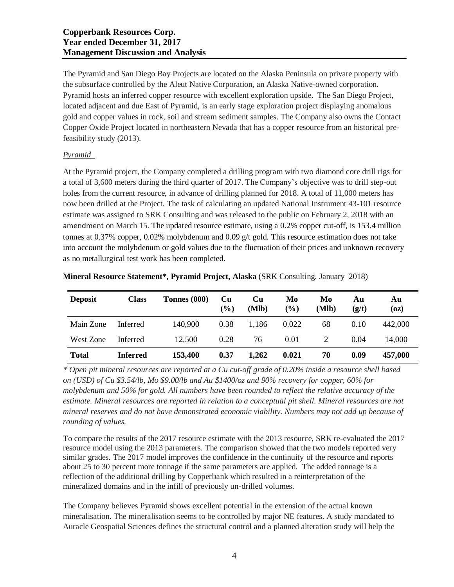# **Copperbank Resources Corp. Year ended December 31, 2017 Management Discussion and Analysis**

The Pyramid and San Diego Bay Projects are located on the Alaska Peninsula on private property with the subsurface controlled by the Aleut Native Corporation, an Alaska Native-owned corporation. Pyramid hosts an inferred copper resource with excellent exploration upside. The San Diego Project, located adjacent and due East of Pyramid, is an early stage exploration project displaying anomalous gold and copper values in rock, soil and stream sediment samples. The Company also owns the Contact Copper Oxide Project located in northeastern Nevada that has a copper resource from an historical prefeasibility study (2013).

# *Pyramid*

At the Pyramid project, the Company completed a drilling program with two diamond core drill rigs for a total of 3,600 meters during the third quarter of 2017. The Company's objective was to drill step-out holes from the current resource, in advance of drilling planned for 2018. A total of 11,000 meters has now been drilled at the Project. The task of calculating an updated National Instrument 43-101 resource estimate was assigned to SRK Consulting and was released to the public on February 2, 2018 with an amendment on March 15. The updated resource estimate, using a 0.2% copper cut-off, is 153.4 million tonnes at 0.37% copper, 0.02% molybdenum and 0.09 g/t gold. This resource estimation does not take into account the molybdenum or gold values due to the fluctuation of their prices and unknown recovery as no metallurgical test work has been completed.

| <b>Deposit</b> | <b>Class</b>    | Tonnes (000) | Cu<br>$(\%)$ | Cu<br>(Mlb) | Mo<br>$(\%)$ | Mo<br>(Mlb) | Αu<br>(g/t) | Αu<br>(oz) |
|----------------|-----------------|--------------|--------------|-------------|--------------|-------------|-------------|------------|
| Main Zone      | Inferred        | 140,900      | 0.38         | 1,186       | 0.022        | 68          | 0.10        | 442,000    |
| West Zone      | Inferred        | 12,500       | 0.28         | 76          | 0.01         |             | 0.04        | 14.000     |
| <b>Total</b>   | <b>Inferred</b> | 153,400      | 0.37         | 1,262       | 0.021        | 70          | 0.09        | 457,000    |

**Mineral Resource Statement\*, Pyramid Project, Alaska** (SRK Consulting, January 2018)

\* Open pit mineral resources are reported at a Cu cut-off grade of 0.20% inside a resource shell based *on (USD) of Cu \$3.54/lb, Mo \$9.00/lb and Au \$1400/oz and 90% recovery for copper, 60% for molybdenum and 50% for gold. All numbers have been rounded to reflect the relative accuracy of the estimate. Mineral resources are reported in relation to a conceptual pit shell. Mineral resources are not mineral reserves and do not have demonstrated economic viability. Numbers may not add up because of rounding of values.*

To compare the results of the 2017 resource estimate with the 2013 resource, SRK re-evaluated the 2017 resource model using the 2013 parameters. The comparison showed that the two models reported very similar grades. The 2017 model improves the confidence in the continuity of the resource and reports about 25 to 30 percent more tonnage if the same parameters are applied. The added tonnage is a reflection of the additional drilling by Copperbank which resulted in a reinterpretation of the mineralized domains and in the infill of previously un-drilled volumes.

The Company believes Pyramid shows excellent potential in the extension of the actual known mineralisation. The mineralisation seems to be controlled by major NE features. A study mandated to Auracle Geospatial Sciences defines the structural control and a planned alteration study will help the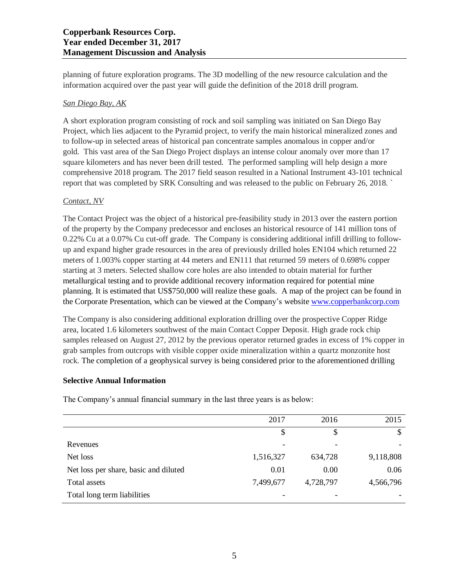planning of future exploration programs. The 3D modelling of the new resource calculation and the information acquired over the past year will guide the definition of the 2018 drill program.

# *San Diego Bay, AK*

A short exploration program consisting of rock and soil sampling was initiated on San Diego Bay Project, which lies adjacent to the Pyramid project, to verify the main historical mineralized zones and to follow-up in selected areas of historical pan concentrate samples anomalous in copper and/or gold. This vast area of the San Diego Project displays an intense colour anomaly over more than 17 square kilometers and has never been drill tested. The performed sampling will help design a more comprehensive 2018 program. The 2017 field season resulted in a National Instrument 43-101 technical report that was completed by SRK Consulting and was released to the public on February 26, 2018. `

# *Contact, NV*

The Contact Project was the object of a historical pre-feasibility study in 2013 over the eastern portion of the property by the Company predecessor and encloses an historical resource of 141 million tons of 0.22% Cu at a 0.07% Cu cut-off grade. The Company is considering additional infill drilling to followup and expand higher grade resources in the area of previously drilled holes EN104 which returned 22 meters of 1.003% copper starting at 44 meters and EN111 that returned 59 meters of 0.698% copper starting at 3 meters. Selected shallow core holes are also intended to obtain material for further metallurgical testing and to provide additional recovery information required for potential mine planning. It is estimated that US\$750,000 will realize these goals. A map of the project can be found in the Corporate Presentation, which can be viewed at the Company's website [www.copperbankcorp.com](http://www.copperbankcorp.com/)

The Company is also considering additional exploration drilling over the prospective Copper Ridge area, located 1.6 kilometers southwest of the main Contact Copper Deposit. High grade rock chip samples released on August 27, 2012 by the previous operator returned grades in excess of 1% copper in grab samples from outcrops with visible copper oxide mineralization within a quartz monzonite host rock. The completion of a geophysical survey is being considered prior to the aforementioned drilling

# **Selective Annual Information**

The Company's annual financial summary in the last three years is as below:

|                                       | 2017      | 2016      | 2015      |
|---------------------------------------|-----------|-----------|-----------|
|                                       | \$        | \$        | \$        |
| Revenues                              |           |           |           |
| Net loss                              | 1,516,327 | 634,728   | 9,118,808 |
| Net loss per share, basic and diluted | 0.01      | 0.00      | 0.06      |
| Total assets                          | 7,499,677 | 4,728,797 | 4,566,796 |
| Total long term liabilities           |           |           |           |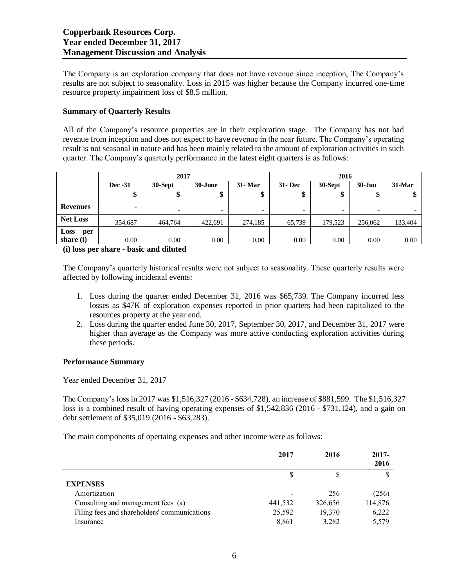The Company is an exploration company that does not have revenue since inception, The Company's results are not subject to seasonality. Loss in 2015 was higher because the Company incurred one-time resource property impairment loss of \$8.5 million.

# **Summary of Quarterly Results**

All of the Company's resource properties are in their exploration stage. The Company has not had revenue from inception and does not expect to have revenue in the near future. The Company's operating result is not seasonal in nature and has been mainly related to the amount of exploration activities in such quarter. The Company's quarterly performance in the latest eight quarters is as follows:

|                 | 2017                     |                          |         |                          |               | 2016    |                          |                          |
|-----------------|--------------------------|--------------------------|---------|--------------------------|---------------|---------|--------------------------|--------------------------|
|                 | Dec -31                  | 30-Sept                  | 30-June | 31- Mar                  | <b>31-Dec</b> | 30-Sept | $30 - Jun$               | $31$ -Mar                |
|                 | Φ                        | Φ                        | ¢<br>⊅  | \$                       | Φ<br>Φ        | Φ       | Φ<br>⊅                   | Φ                        |
| <b>Revenues</b> | $\overline{\phantom{0}}$ | $\overline{\phantom{0}}$ | -       | $\overline{\phantom{0}}$ | -             | -       | $\overline{\phantom{0}}$ | $\overline{\phantom{0}}$ |
| <b>Net Loss</b> | 354,687                  | 464,764                  | 422,691 | 274,185                  | 65,739        | 179,523 | 256,062                  | 133,404                  |
| Loss<br>per     |                          |                          |         |                          |               |         |                          |                          |
| share (i)       | 0.00                     | 0.00                     | 0.00    | 0.00                     | 0.00          | 0.00    | 0.00                     | 0.00                     |

**(i) loss per share - basic and diluted**

The Company's quarterly historical results were not subject to seasonality. These quarterly results were affected by following incidental events:

- 1. Loss during the quarter ended December 31, 2016 was \$65,739. The Company incurred less losses as \$47K of exploration expenses reported in prior quarters had been capitalized to the resources property at the year end.
- 2. Loss during the quarter ended June 30, 2017, September 30, 2017, and December 31, 2017 were higher than average as the Company was more active conducting exploration activities during these periods.

#### **Performance Summary**

# Year ended December 31, 2017

The Company's loss in 2017 was \$1,516,327 (2016 - \$634,728), an increase of \$881,599. The \$1,516,327 loss is a combined result of having operating expenses of \$1,542,836 (2016 - \$731,124), and a gain on debt settlement of \$35,019 (2016 - \$63,283).

The main components of opertaing expenses and other income were as follows:

|                                              | 2017    | 2016    | $2017 -$<br>2016 |
|----------------------------------------------|---------|---------|------------------|
|                                              |         | S       |                  |
| <b>EXPENSES</b>                              |         |         |                  |
| Amortization                                 |         | 256     | (256)            |
| Consulting and management fees (a)           | 441,532 | 326,656 | 114,876          |
| Filing fees and shareholders' communications | 25,592  | 19,370  | 6,222            |
| Insurance                                    | 8,861   | 3,282   | 5,579            |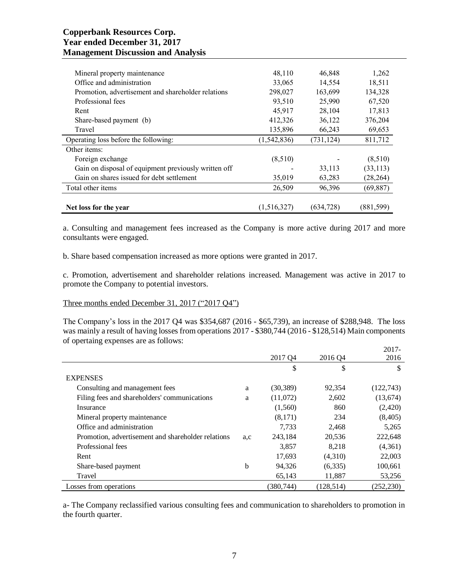# **Copperbank Resources Corp. Year ended December 31, 2017 Management Discussion and Analysis**

|                                                      |               | 46,848     |           |
|------------------------------------------------------|---------------|------------|-----------|
| Mineral property maintenance                         | 48,110        |            | 1,262     |
| Office and administration                            | 33,065        | 14,554     | 18,511    |
| Promotion, advertisement and shareholder relations   | 298,027       | 163,699    | 134,328   |
| Professional fees                                    | 93,510        | 25,990     | 67,520    |
| Rent                                                 | 45,917        | 28,104     | 17,813    |
| Share-based payment (b)                              | 412,326       | 36,122     | 376,204   |
| Travel                                               | 135,896       | 66,243     | 69,653    |
| Operating loss before the following:                 | (1, 542, 836) | (731, 124) | 811,712   |
| Other items:                                         |               |            |           |
| Foreign exchange                                     | (8,510)       |            | (8,510)   |
| Gain on disposal of equipment previously written off |               | 33,113     | (33, 113) |
| Gain on shares issued for debt settlement            | 35,019        | 63,283     | (28, 264) |
| Total other items                                    | 26,509        | 96,396     | (69, 887) |
|                                                      |               |            |           |
| Net loss for the year                                | (1,516,327)   | (634, 728) | (881,599) |

a. Consulting and management fees increased as the Company is more active during 2017 and more consultants were engaged.

b. Share based compensation increased as more options were granted in 2017.

c. Promotion, advertisement and shareholder relations increased. Management was active in 2017 to promote the Company to potential investors.

# Three months ended December 31, 2017 ("2017 Q4")

The Company's loss in the 2017 Q4 was \$354,687 (2016 - \$65,739), an increase of \$288,948. The loss was mainly a result of having losses from operations 2017 - \$380,744 (2016 - \$128,514) Main components of opertaing expenses are as follows:  $2017$ 

|                                                    |     |            |            | 2017-      |
|----------------------------------------------------|-----|------------|------------|------------|
|                                                    |     | 2017 Q4    | 2016 04    | 2016       |
|                                                    |     | \$         | \$         | \$         |
| <b>EXPENSES</b>                                    |     |            |            |            |
| Consulting and management fees                     | a   | (30, 389)  | 92,354     | (122, 743) |
| Filing fees and shareholders' communications       | a   | (11,072)   | 2,602      | (13,674)   |
| Insurance                                          |     | (1,560)    | 860        | (2,420)    |
| Mineral property maintenance                       |     | (8,171)    | 234        | (8, 405)   |
| Office and administration                          |     | 7.733      | 2,468      | 5,265      |
| Promotion, advertisement and shareholder relations | a.c | 243,184    | 20,536     | 222,648    |
| Professional fees                                  |     | 3,857      | 8,218      | (4,361)    |
| Rent                                               |     | 17,693     | (4,310)    | 22,003     |
| Share-based payment                                | b   | 94,326     | (6,335)    | 100,661    |
| Travel                                             |     | 65,143     | 11,887     | 53,256     |
| Losses from operations                             |     | (380, 744) | (128, 514) | (252, 230) |

a- The Company reclassified various consulting fees and communication to shareholders to promotion in the fourth quarter.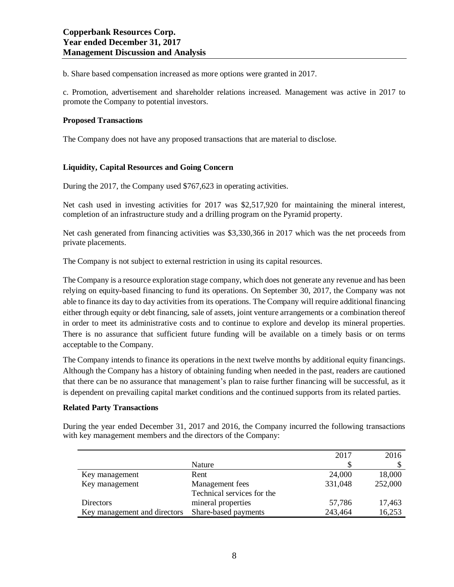b. Share based compensation increased as more options were granted in 2017.

c. Promotion, advertisement and shareholder relations increased. Management was active in 2017 to promote the Company to potential investors.

# **Proposed Transactions**

The Company does not have any proposed transactions that are material to disclose.

# **Liquidity, Capital Resources and Going Concern**

During the 2017, the Company used \$767,623 in operating activities.

Net cash used in investing activities for 2017 was \$2,517,920 for maintaining the mineral interest, completion of an infrastructure study and a drilling program on the Pyramid property.

Net cash generated from financing activities was \$3,330,366 in 2017 which was the net proceeds from private placements.

The Company is not subject to external restriction in using its capital resources.

The Company is a resource exploration stage company, which does not generate any revenue and has been relying on equity-based financing to fund its operations. On September 30, 2017, the Company was not able to finance its day to day activities from its operations. The Company will require additional financing either through equity or debt financing, sale of assets, joint venture arrangements or a combination thereof in order to meet its administrative costs and to continue to explore and develop its mineral properties. There is no assurance that sufficient future funding will be available on a timely basis or on terms acceptable to the Company.

The Company intends to finance its operations in the next twelve months by additional equity financings. Although the Company has a history of obtaining funding when needed in the past, readers are cautioned that there can be no assurance that management's plan to raise further financing will be successful, as it is dependent on prevailing capital market conditions and the continued supports from its related parties.

# **Related Party Transactions**

During the year ended December 31, 2017 and 2016, the Company incurred the following transactions with key management members and the directors of the Company:

|                              |                            | 2017    | 2016    |
|------------------------------|----------------------------|---------|---------|
|                              | Nature                     |         |         |
| Key management               | Rent                       | 24,000  | 18,000  |
| Key management               | Management fees            | 331,048 | 252,000 |
|                              | Technical services for the |         |         |
| Directors                    | mineral properties         | 57,786  | 17,463  |
| Key management and directors | Share-based payments       | 243,464 | 16,253  |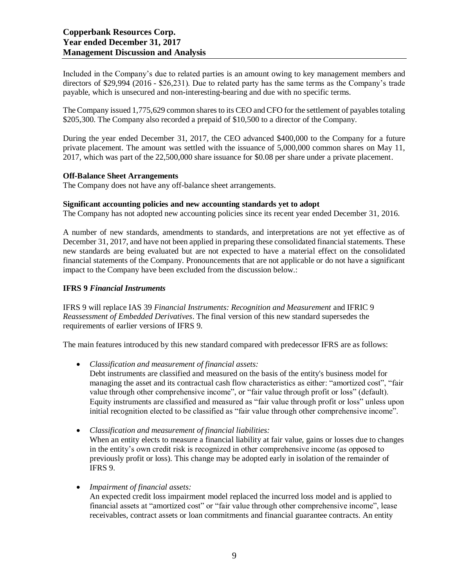Included in the Company's due to related parties is an amount owing to key management members and directors of \$29,994 (2016 - \$26,231). Due to related party has the same terms as the Company's trade payable, which is unsecured and non-interesting-bearing and due with no specific terms.

The Company issued 1,775,629 common shares to its CEO and CFO for the settlement of payables totaling \$205,300. The Company also recorded a prepaid of \$10,500 to a director of the Company.

During the year ended December 31, 2017, the CEO advanced \$400,000 to the Company for a future private placement. The amount was settled with the issuance of 5,000,000 common shares on May 11, 2017, which was part of the 22,500,000 share issuance for \$0.08 per share under a private placement.

#### **Off-Balance Sheet Arrangements**

The Company does not have any off-balance sheet arrangements.

#### **Significant accounting policies and new accounting standards yet to adopt**

The Company has not adopted new accounting policies since its recent year ended December 31, 2016.

A number of new standards, amendments to standards, and interpretations are not yet effective as of December 31, 2017, and have not been applied in preparing these consolidated financial statements. These new standards are being evaluated but are not expected to have a material effect on the consolidated financial statements of the Company. Pronouncements that are not applicable or do not have a significant impact to the Company have been excluded from the discussion below.:

#### **IFRS 9** *Financial Instruments*

IFRS 9 will replace IAS 39 *Financial Instruments: Recognition and Measurement* and IFRIC 9 *Reassessment of Embedded Derivatives*. The final version of this new standard supersedes the requirements of earlier versions of IFRS 9.

The main features introduced by this new standard compared with predecessor IFRS are as follows:

- *Classification and measurement of financial assets:* Debt instruments are classified and measured on the basis of the entity's business model for managing the asset and its contractual cash flow characteristics as either: "amortized cost", "fair value through other comprehensive income", or "fair value through profit or loss" (default). Equity instruments are classified and measured as "fair value through profit or loss" unless upon initial recognition elected to be classified as "fair value through other comprehensive income".
- *Classification and measurement of financial liabilities:* When an entity elects to measure a financial liability at fair value, gains or losses due to changes in the entity's own credit risk is recognized in other comprehensive income (as opposed to previously profit or loss). This change may be adopted early in isolation of the remainder of IFRS 9.
- *Impairment of financial assets:* An expected credit loss impairment model replaced the incurred loss model and is applied to financial assets at "amortized cost" or "fair value through other comprehensive income", lease receivables, contract assets or loan commitments and financial guarantee contracts. An entity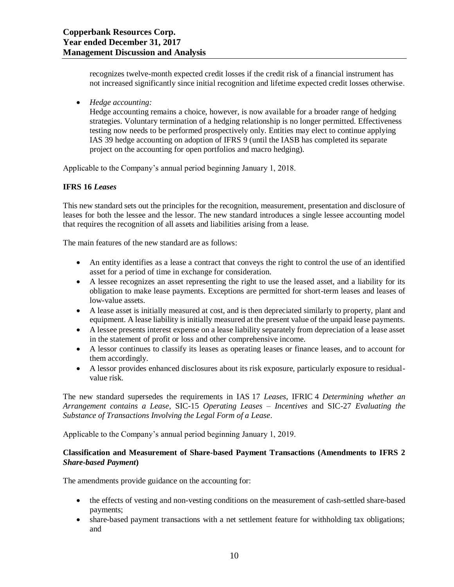recognizes twelve-month expected credit losses if the credit risk of a financial instrument has not increased significantly since initial recognition and lifetime expected credit losses otherwise.

• *Hedge accounting:*

Hedge accounting remains a choice, however, is now available for a broader range of hedging strategies. Voluntary termination of a hedging relationship is no longer permitted. Effectiveness testing now needs to be performed prospectively only. Entities may elect to continue applying IAS 39 hedge accounting on adoption of IFRS 9 (until the IASB has completed its separate project on the accounting for open portfolios and macro hedging).

Applicable to the Company's annual period beginning January 1, 2018.

#### **IFRS 16** *Leases*

This new standard sets out the principles for the recognition, measurement, presentation and disclosure of leases for both the lessee and the lessor. The new standard introduces a single lessee accounting model that requires the recognition of all assets and liabilities arising from a lease.

The main features of the new standard are as follows:

- An entity identifies as a lease a contract that conveys the right to control the use of an identified asset for a period of time in exchange for consideration.
- A lessee recognizes an asset representing the right to use the leased asset, and a liability for its obligation to make lease payments. Exceptions are permitted for short-term leases and leases of low-value assets.
- A lease asset is initially measured at cost, and is then depreciated similarly to property, plant and equipment. A lease liability is initially measured at the present value of the unpaid lease payments.
- A lessee presents interest expense on a lease liability separately from depreciation of a lease asset in the statement of profit or loss and other comprehensive income.
- A lessor continues to classify its leases as operating leases or finance leases, and to account for them accordingly.
- A lessor provides enhanced disclosures about its risk exposure, particularly exposure to residualvalue risk.

The new standard supersedes the requirements in IAS 17 *Leases*, IFRIC 4 *Determining whether an Arrangement contains a Lease*, SIC-15 *Operating Leases – Incentives* and SIC-27 *Evaluating the Substance of Transactions Involving the Legal Form of a Lease*.

Applicable to the Company's annual period beginning January 1, 2019.

# **Classification and Measurement of Share-based Payment Transactions (Amendments to IFRS 2**  *Share-based Payment***)**

The amendments provide guidance on the accounting for:

- the effects of vesting and non-vesting conditions on the measurement of cash-settled share-based payments;
- share-based payment transactions with a net settlement feature for withholding tax obligations; and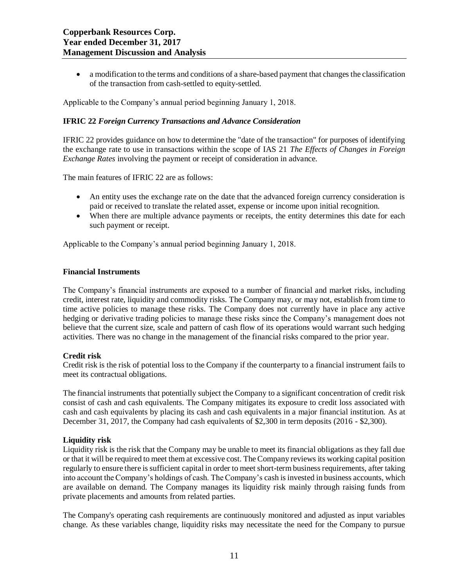• a modification to the terms and conditions of a share-based payment that changes the classification of the transaction from cash-settled to equity-settled.

Applicable to the Company's annual period beginning January 1, 2018.

# **IFRIC 22** *Foreign Currency Transactions and Advance Consideration*

IFRIC 22 provides guidance on how to determine the "date of the transaction" for purposes of identifying the exchange rate to use in transactions within the scope of IAS 21 *The Effects of Changes in Foreign Exchange Rates* involving the payment or receipt of consideration in advance.

The main features of IFRIC 22 are as follows:

- An entity uses the exchange rate on the date that the advanced foreign currency consideration is paid or received to translate the related asset, expense or income upon initial recognition.
- When there are multiple advance payments or receipts, the entity determines this date for each such payment or receipt.

Applicable to the Company's annual period beginning January 1, 2018.

#### **Financial Instruments**

The Company's financial instruments are exposed to a number of financial and market risks, including credit, interest rate, liquidity and commodity risks. The Company may, or may not, establish from time to time active policies to manage these risks. The Company does not currently have in place any active hedging or derivative trading policies to manage these risks since the Company's management does not believe that the current size, scale and pattern of cash flow of its operations would warrant such hedging activities. There was no change in the management of the financial risks compared to the prior year.

# **Credit risk**

Credit risk is the risk of potential loss to the Company if the counterparty to a financial instrument fails to meet its contractual obligations.

The financial instruments that potentially subject the Company to a significant concentration of credit risk consist of cash and cash equivalents. The Company mitigates its exposure to credit loss associated with cash and cash equivalents by placing its cash and cash equivalents in a major financial institution. As at December 31, 2017, the Company had cash equivalents of \$2,300 in term deposits (2016 - \$2,300).

# **Liquidity risk**

Liquidity risk is the risk that the Company may be unable to meet its financial obligations as they fall due or that it will be required to meet them at excessive cost. The Company reviews its working capital position regularly to ensure there is sufficient capital in order to meet short-term business requirements, after taking into account the Company's holdings of cash. The Company's cash is invested in business accounts, which are available on demand. The Company manages its liquidity risk mainly through raising funds from private placements and amounts from related parties.

The Company's operating cash requirements are continuously monitored and adjusted as input variables change. As these variables change, liquidity risks may necessitate the need for the Company to pursue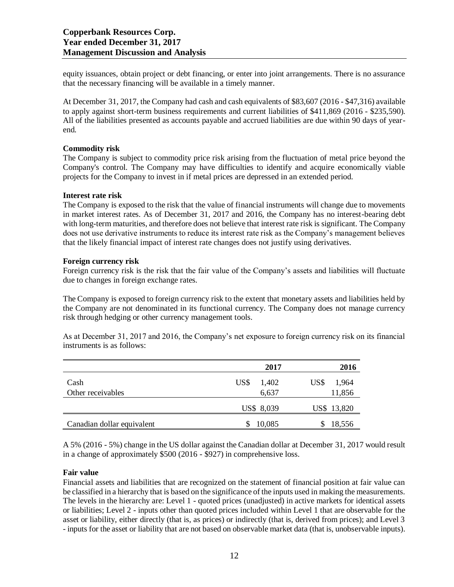equity issuances, obtain project or debt financing, or enter into joint arrangements. There is no assurance that the necessary financing will be available in a timely manner.

At December 31, 2017, the Company had cash and cash equivalents of \$83,607 (2016 - \$47,316) available to apply against short-term business requirements and current liabilities of \$411,869 (2016 - \$235,590). All of the liabilities presented as accounts payable and accrued liabilities are due within 90 days of yearend.

## **Commodity risk**

The Company is subject to commodity price risk arising from the fluctuation of metal price beyond the Company's control. The Company may have difficulties to identify and acquire economically viable projects for the Company to invest in if metal prices are depressed in an extended period.

# **Interest rate risk**

The Company is exposed to the risk that the value of financial instruments will change due to movements in market interest rates. As of December 31, 2017 and 2016, the Company has no interest-bearing debt with long-term maturities, and therefore does not believe that interest rate risk is significant. The Company does not use derivative instruments to reduce its interest rate risk as the Company's management believes that the likely financial impact of interest rate changes does not justify using derivatives.

#### **Foreign currency risk**

Foreign currency risk is the risk that the fair value of the Company's assets and liabilities will fluctuate due to changes in foreign exchange rates.

The Company is exposed to foreign currency risk to the extent that monetary assets and liabilities held by the Company are not denominated in its functional currency. The Company does not manage currency risk through hedging or other currency management tools.

As at December 31, 2017 and 2016, the Company's net exposure to foreign currency risk on its financial instruments is as follows:

|                            | 2017          | 2016          |
|----------------------------|---------------|---------------|
| Cash                       | US\$<br>1,402 | US\$<br>1,964 |
| Other receivables          | 6,637         | 11,856        |
|                            | US\$ 8,039    | US\$ 13,820   |
| Canadian dollar equivalent | 10,085        | 18,556        |

A 5% (2016 - 5%) change in the US dollar against the Canadian dollar at December 31, 2017 would result in a change of approximately \$500 (2016 - \$927) in comprehensive loss.

# **Fair value**

Financial assets and liabilities that are recognized on the statement of financial position at fair value can be classified in a hierarchy that is based on the significance of the inputs used in making the measurements. The levels in the hierarchy are: Level 1 - quoted prices (unadjusted) in active markets for identical assets or liabilities; Level 2 - inputs other than quoted prices included within Level 1 that are observable for the asset or liability, either directly (that is, as prices) or indirectly (that is, derived from prices); and Level 3 - inputs for the asset or liability that are not based on observable market data (that is, unobservable inputs).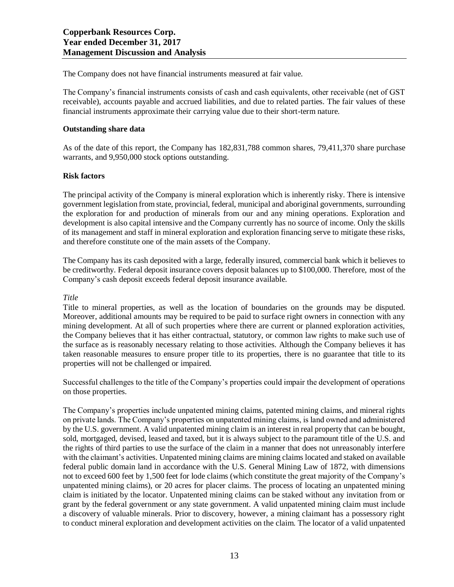The Company does not have financial instruments measured at fair value.

The Company's financial instruments consists of cash and cash equivalents, other receivable (net of GST receivable), accounts payable and accrued liabilities, and due to related parties. The fair values of these financial instruments approximate their carrying value due to their short-term nature.

#### **Outstanding share data**

As of the date of this report, the Company has 182,831,788 common shares, 79,411,370 share purchase warrants, and 9,950,000 stock options outstanding.

#### **Risk factors**

The principal activity of the Company is mineral exploration which is inherently risky. There is intensive government legislation from state, provincial, federal, municipal and aboriginal governments, surrounding the exploration for and production of minerals from our and any mining operations. Exploration and development is also capital intensive and the Company currently has no source of income. Only the skills of its management and staff in mineral exploration and exploration financing serve to mitigate these risks, and therefore constitute one of the main assets of the Company.

The Company has its cash deposited with a large, federally insured, commercial bank which it believes to be creditworthy. Federal deposit insurance covers deposit balances up to \$100,000. Therefore, most of the Company's cash deposit exceeds federal deposit insurance available.

#### *Title*

Title to mineral properties, as well as the location of boundaries on the grounds may be disputed. Moreover, additional amounts may be required to be paid to surface right owners in connection with any mining development. At all of such properties where there are current or planned exploration activities, the Company believes that it has either contractual, statutory, or common law rights to make such use of the surface as is reasonably necessary relating to those activities. Although the Company believes it has taken reasonable measures to ensure proper title to its properties, there is no guarantee that title to its properties will not be challenged or impaired.

Successful challenges to the title of the Company's properties could impair the development of operations on those properties.

The Company's properties include unpatented mining claims, patented mining claims, and mineral rights on private lands. The Company's properties on unpatented mining claims, is land owned and administered by the U.S. government. A valid unpatented mining claim is an interest in real property that can be bought, sold, mortgaged, devised, leased and taxed, but it is always subject to the paramount title of the U.S. and the rights of third parties to use the surface of the claim in a manner that does not unreasonably interfere with the claimant's activities. Unpatented mining claims are mining claims located and staked on available federal public domain land in accordance with the U.S. General Mining Law of 1872, with dimensions not to exceed 600 feet by 1,500 feet for lode claims (which constitute the great majority of the Company's unpatented mining claims), or 20 acres for placer claims. The process of locating an unpatented mining claim is initiated by the locator. Unpatented mining claims can be staked without any invitation from or grant by the federal government or any state government. A valid unpatented mining claim must include a discovery of valuable minerals. Prior to discovery, however, a mining claimant has a possessory right to conduct mineral exploration and development activities on the claim. The locator of a valid unpatented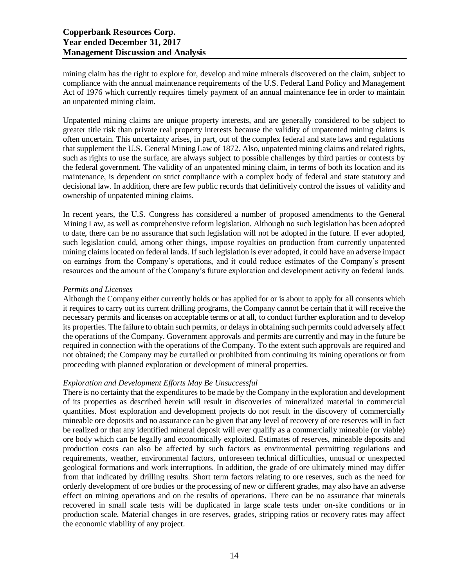mining claim has the right to explore for, develop and mine minerals discovered on the claim, subject to compliance with the annual maintenance requirements of the U.S. Federal Land Policy and Management Act of 1976 which currently requires timely payment of an annual maintenance fee in order to maintain an unpatented mining claim.

Unpatented mining claims are unique property interests, and are generally considered to be subject to greater title risk than private real property interests because the validity of unpatented mining claims is often uncertain. This uncertainty arises, in part, out of the complex federal and state laws and regulations that supplement the U.S. General Mining Law of 1872. Also, unpatented mining claims and related rights, such as rights to use the surface, are always subject to possible challenges by third parties or contests by the federal government. The validity of an unpatented mining claim, in terms of both its location and its maintenance, is dependent on strict compliance with a complex body of federal and state statutory and decisional law. In addition, there are few public records that definitively control the issues of validity and ownership of unpatented mining claims.

In recent years, the U.S. Congress has considered a number of proposed amendments to the General Mining Law, as well as comprehensive reform legislation. Although no such legislation has been adopted to date, there can be no assurance that such legislation will not be adopted in the future. If ever adopted, such legislation could, among other things, impose royalties on production from currently unpatented mining claims located on federal lands. If such legislation is ever adopted, it could have an adverse impact on earnings from the Company's operations, and it could reduce estimates of the Company's present resources and the amount of the Company's future exploration and development activity on federal lands.

# *Permits and Licenses*

Although the Company either currently holds or has applied for or is about to apply for all consents which it requires to carry out its current drilling programs, the Company cannot be certain that it will receive the necessary permits and licenses on acceptable terms or at all, to conduct further exploration and to develop its properties. The failure to obtain such permits, or delays in obtaining such permits could adversely affect the operations of the Company. Government approvals and permits are currently and may in the future be required in connection with the operations of the Company. To the extent such approvals are required and not obtained; the Company may be curtailed or prohibited from continuing its mining operations or from proceeding with planned exploration or development of mineral properties.

# *Exploration and Development Efforts May Be Unsuccessful*

There is no certainty that the expenditures to be made by the Company in the exploration and development of its properties as described herein will result in discoveries of mineralized material in commercial quantities. Most exploration and development projects do not result in the discovery of commercially mineable ore deposits and no assurance can be given that any level of recovery of ore reserves will in fact be realized or that any identified mineral deposit will ever qualify as a commercially mineable (or viable) ore body which can be legally and economically exploited. Estimates of reserves, mineable deposits and production costs can also be affected by such factors as environmental permitting regulations and requirements, weather, environmental factors, unforeseen technical difficulties, unusual or unexpected geological formations and work interruptions. In addition, the grade of ore ultimately mined may differ from that indicated by drilling results. Short term factors relating to ore reserves, such as the need for orderly development of ore bodies or the processing of new or different grades, may also have an adverse effect on mining operations and on the results of operations. There can be no assurance that minerals recovered in small scale tests will be duplicated in large scale tests under on-site conditions or in production scale. Material changes in ore reserves, grades, stripping ratios or recovery rates may affect the economic viability of any project.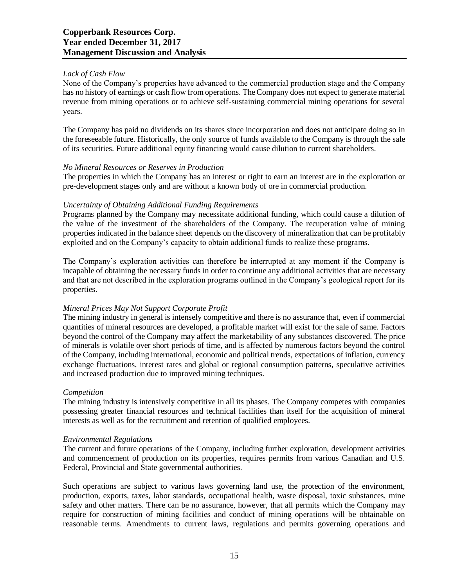# *Lack of Cash Flow*

None of the Company's properties have advanced to the commercial production stage and the Company has no history of earnings or cash flow from operations. The Company does not expect to generate material revenue from mining operations or to achieve self-sustaining commercial mining operations for several years.

The Company has paid no dividends on its shares since incorporation and does not anticipate doing so in the foreseeable future. Historically, the only source of funds available to the Company is through the sale of its securities. Future additional equity financing would cause dilution to current shareholders.

# *No Mineral Resources or Reserves in Production*

The properties in which the Company has an interest or right to earn an interest are in the exploration or pre-development stages only and are without a known body of ore in commercial production.

#### *Uncertainty of Obtaining Additional Funding Requirements*

Programs planned by the Company may necessitate additional funding, which could cause a dilution of the value of the investment of the shareholders of the Company. The recuperation value of mining properties indicated in the balance sheet depends on the discovery of mineralization that can be profitably exploited and on the Company's capacity to obtain additional funds to realize these programs.

The Company's exploration activities can therefore be interrupted at any moment if the Company is incapable of obtaining the necessary funds in order to continue any additional activities that are necessary and that are not described in the exploration programs outlined in the Company's geological report for its properties.

# *Mineral Prices May Not Support Corporate Profit*

The mining industry in general is intensely competitive and there is no assurance that, even if commercial quantities of mineral resources are developed, a profitable market will exist for the sale of same. Factors beyond the control of the Company may affect the marketability of any substances discovered. The price of minerals is volatile over short periods of time, and is affected by numerous factors beyond the control of the Company, including international, economic and political trends, expectations of inflation, currency exchange fluctuations, interest rates and global or regional consumption patterns, speculative activities and increased production due to improved mining techniques.

# *Competition*

The mining industry is intensively competitive in all its phases. The Company competes with companies possessing greater financial resources and technical facilities than itself for the acquisition of mineral interests as well as for the recruitment and retention of qualified employees.

#### *Environmental Regulations*

The current and future operations of the Company, including further exploration, development activities and commencement of production on its properties, requires permits from various Canadian and U.S. Federal, Provincial and State governmental authorities.

Such operations are subject to various laws governing land use, the protection of the environment, production, exports, taxes, labor standards, occupational health, waste disposal, toxic substances, mine safety and other matters. There can be no assurance, however, that all permits which the Company may require for construction of mining facilities and conduct of mining operations will be obtainable on reasonable terms. Amendments to current laws, regulations and permits governing operations and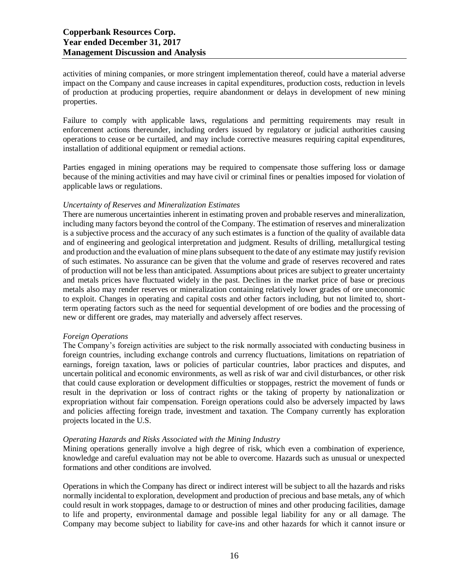activities of mining companies, or more stringent implementation thereof, could have a material adverse impact on the Company and cause increases in capital expenditures, production costs, reduction in levels of production at producing properties, require abandonment or delays in development of new mining properties.

Failure to comply with applicable laws, regulations and permitting requirements may result in enforcement actions thereunder, including orders issued by regulatory or judicial authorities causing operations to cease or be curtailed, and may include corrective measures requiring capital expenditures, installation of additional equipment or remedial actions.

Parties engaged in mining operations may be required to compensate those suffering loss or damage because of the mining activities and may have civil or criminal fines or penalties imposed for violation of applicable laws or regulations.

#### *Uncertainty of Reserves and Mineralization Estimates*

There are numerous uncertainties inherent in estimating proven and probable reserves and mineralization, including many factors beyond the control of the Company. The estimation of reserves and mineralization is a subjective process and the accuracy of any such estimates is a function of the quality of available data and of engineering and geological interpretation and judgment. Results of drilling, metallurgical testing and production and the evaluation of mine plans subsequent to the date of any estimate may justify revision of such estimates. No assurance can be given that the volume and grade of reserves recovered and rates of production will not be less than anticipated. Assumptions about prices are subject to greater uncertainty and metals prices have fluctuated widely in the past. Declines in the market price of base or precious metals also may render reserves or mineralization containing relatively lower grades of ore uneconomic to exploit. Changes in operating and capital costs and other factors including, but not limited to, shortterm operating factors such as the need for sequential development of ore bodies and the processing of new or different ore grades, may materially and adversely affect reserves.

#### *Foreign Operations*

The Company's foreign activities are subject to the risk normally associated with conducting business in foreign countries, including exchange controls and currency fluctuations, limitations on repatriation of earnings, foreign taxation, laws or policies of particular countries, labor practices and disputes, and uncertain political and economic environments, as well as risk of war and civil disturbances, or other risk that could cause exploration or development difficulties or stoppages, restrict the movement of funds or result in the deprivation or loss of contract rights or the taking of property by nationalization or expropriation without fair compensation. Foreign operations could also be adversely impacted by laws and policies affecting foreign trade, investment and taxation. The Company currently has exploration projects located in the U.S.

# *Operating Hazards and Risks Associated with the Mining Industry*

Mining operations generally involve a high degree of risk, which even a combination of experience, knowledge and careful evaluation may not be able to overcome. Hazards such as unusual or unexpected formations and other conditions are involved.

Operations in which the Company has direct or indirect interest will be subject to all the hazards and risks normally incidental to exploration, development and production of precious and base metals, any of which could result in work stoppages, damage to or destruction of mines and other producing facilities, damage to life and property, environmental damage and possible legal liability for any or all damage. The Company may become subject to liability for cave-ins and other hazards for which it cannot insure or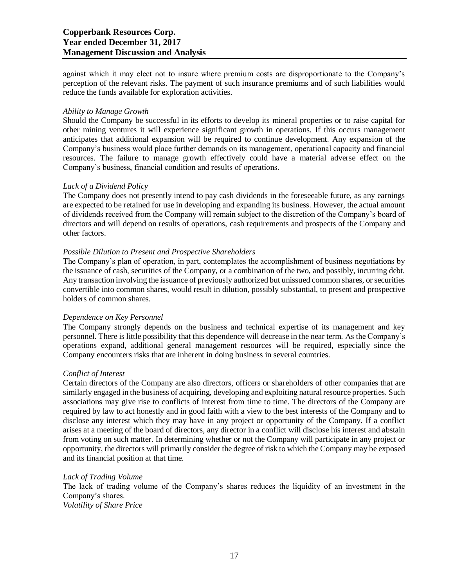against which it may elect not to insure where premium costs are disproportionate to the Company's perception of the relevant risks. The payment of such insurance premiums and of such liabilities would reduce the funds available for exploration activities.

#### *Ability to Manage Growth*

Should the Company be successful in its efforts to develop its mineral properties or to raise capital for other mining ventures it will experience significant growth in operations. If this occurs management anticipates that additional expansion will be required to continue development. Any expansion of the Company's business would place further demands on its management, operational capacity and financial resources. The failure to manage growth effectively could have a material adverse effect on the Company's business, financial condition and results of operations.

# *Lack of a Dividend Policy*

The Company does not presently intend to pay cash dividends in the foreseeable future, as any earnings are expected to be retained for use in developing and expanding its business. However, the actual amount of dividends received from the Company will remain subject to the discretion of the Company's board of directors and will depend on results of operations, cash requirements and prospects of the Company and other factors.

# *Possible Dilution to Present and Prospective Shareholders*

The Company's plan of operation, in part, contemplates the accomplishment of business negotiations by the issuance of cash, securities of the Company, or a combination of the two, and possibly, incurring debt. Any transaction involving the issuance of previously authorized but unissued common shares, or securities convertible into common shares, would result in dilution, possibly substantial, to present and prospective holders of common shares.

# *Dependence on Key Personnel*

The Company strongly depends on the business and technical expertise of its management and key personnel. There is little possibility that this dependence will decrease in the near term. As the Company's operations expand, additional general management resources will be required, especially since the Company encounters risks that are inherent in doing business in several countries.

# *Conflict of Interest*

Certain directors of the Company are also directors, officers or shareholders of other companies that are similarly engaged in the business of acquiring, developing and exploiting natural resource properties. Such associations may give rise to conflicts of interest from time to time. The directors of the Company are required by law to act honestly and in good faith with a view to the best interests of the Company and to disclose any interest which they may have in any project or opportunity of the Company. If a conflict arises at a meeting of the board of directors, any director in a conflict will disclose his interest and abstain from voting on such matter. In determining whether or not the Company will participate in any project or opportunity, the directors will primarily consider the degree of risk to which the Company may be exposed and its financial position at that time.

#### *Lack of Trading Volume*

The lack of trading volume of the Company's shares reduces the liquidity of an investment in the Company's shares. *Volatility of Share Price*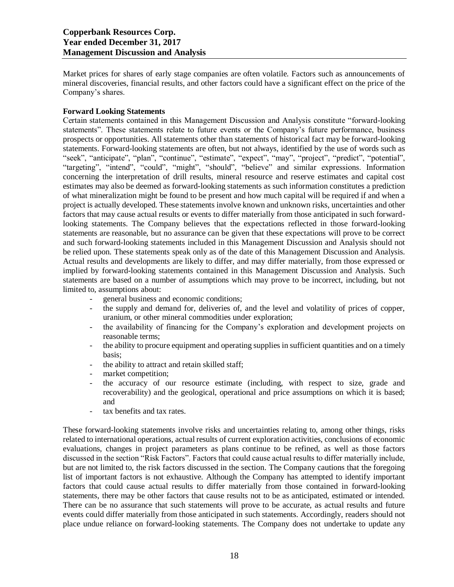Market prices for shares of early stage companies are often volatile. Factors such as announcements of mineral discoveries, financial results, and other factors could have a significant effect on the price of the Company's shares.

# **Forward Looking Statements**

Certain statements contained in this Management Discussion and Analysis constitute "forward-looking statements". These statements relate to future events or the Company's future performance, business prospects or opportunities. All statements other than statements of historical fact may be forward-looking statements. Forward-looking statements are often, but not always, identified by the use of words such as "seek", "anticipate", "plan", "continue", "estimate", "expect", "may", "project", "predict", "potential", "targeting", "intend", "could", "might", "should", "believe" and similar expressions. Information concerning the interpretation of drill results, mineral resource and reserve estimates and capital cost estimates may also be deemed as forward-looking statements as such information constitutes a prediction of what mineralization might be found to be present and how much capital will be required if and when a project is actually developed. These statements involve known and unknown risks, uncertainties and other factors that may cause actual results or events to differ materially from those anticipated in such forwardlooking statements. The Company believes that the expectations reflected in those forward-looking statements are reasonable, but no assurance can be given that these expectations will prove to be correct and such forward-looking statements included in this Management Discussion and Analysis should not be relied upon. These statements speak only as of the date of this Management Discussion and Analysis. Actual results and developments are likely to differ, and may differ materially, from those expressed or implied by forward-looking statements contained in this Management Discussion and Analysis. Such statements are based on a number of assumptions which may prove to be incorrect, including, but not limited to, assumptions about:

- general business and economic conditions;
- the supply and demand for, deliveries of, and the level and volatility of prices of copper, uranium, or other mineral commodities under exploration;
- the availability of financing for the Company's exploration and development projects on reasonable terms;
- the ability to procure equipment and operating supplies in sufficient quantities and on a timely basis;
- the ability to attract and retain skilled staff;
- market competition;
- the accuracy of our resource estimate (including, with respect to size, grade and recoverability) and the geological, operational and price assumptions on which it is based; and
- tax benefits and tax rates.

These forward-looking statements involve risks and uncertainties relating to, among other things, risks related to international operations, actual results of current exploration activities, conclusions of economic evaluations, changes in project parameters as plans continue to be refined, as well as those factors discussed in the section "Risk Factors". Factors that could cause actual results to differ materially include, but are not limited to, the risk factors discussed in the section. The Company cautions that the foregoing list of important factors is not exhaustive. Although the Company has attempted to identify important factors that could cause actual results to differ materially from those contained in forward-looking statements, there may be other factors that cause results not to be as anticipated, estimated or intended. There can be no assurance that such statements will prove to be accurate, as actual results and future events could differ materially from those anticipated in such statements. Accordingly, readers should not place undue reliance on forward-looking statements. The Company does not undertake to update any